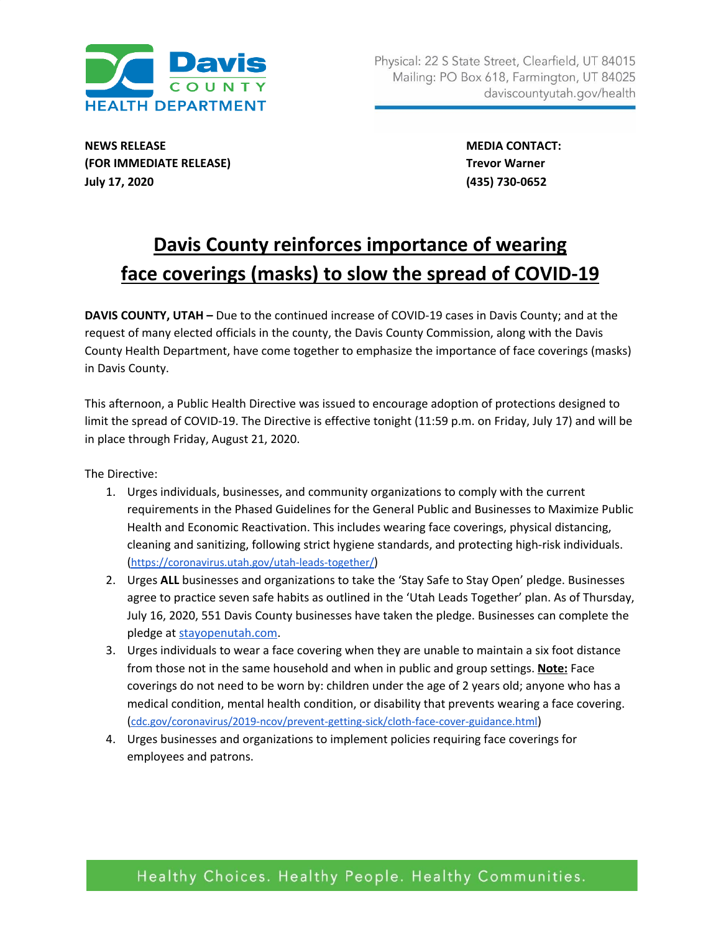

**NEWS RELEASE MEDIA CONTACT: (FOR IMMEDIATE RELEASE) Trevor Warner July 17, 2020 (435) 730-0652**

## **Davis County reinforces importance of wearing face coverings (masks) to slow the spread of COVID-19**

**DAVIS COUNTY, UTAH –** Due to the continued increase of COVID-19 cases in Davis County; and at the request of many elected officials in the county, the Davis County Commission, along with the Davis County Health Department, have come together to emphasize the importance of face coverings (masks) in Davis County.

This afternoon, a Public Health Directive was issued to encourage adoption of protections designed to limit the spread of COVID-19. The Directive is effective tonight (11:59 p.m. on Friday, July 17) and will be in place through Friday, August 21, 2020.

The Directive:

- 1. Urges individuals, businesses, and community organizations to comply with the current requirements in the Phased Guidelines for the General Public and Businesses to Maximize Public Health and Economic Reactivation. This includes wearing face coverings, physical distancing, cleaning and sanitizing, following strict hygiene standards, and protecting high-risk individuals. (<https://coronavirus.utah.gov/utah-leads-together/>)
- 2. Urges **ALL** businesses and organizations to take the 'Stay Safe to Stay Open' pledge. Businesses agree to practice seven safe habits as outlined in the 'Utah Leads Together' plan. As of Thursday, July 16, 2020, 551 Davis County businesses have taken the pledge. Businesses can complete the pledge at [stayopenutah.com.](http://stayopenutah.com/)
- 3. Urges individuals to wear a face covering when they are unable to maintain a six foot distance from those not in the same household and when in public and group settings. **Note:** Face coverings do not need to be worn by: children under the age of 2 years old; anyone who has a medical condition, mental health condition, or disability that prevents wearing a face covering. ([cdc.gov/coronavirus/2019-ncov/prevent-getting-sick/cloth-face-cover-guidance.html](https://www.cdc.gov/coronavirus/2019-ncov/prevent-getting-sick/cloth-face-cover-guidance.html))
- 4. Urges businesses and organizations to implement policies requiring face coverings for employees and patrons.